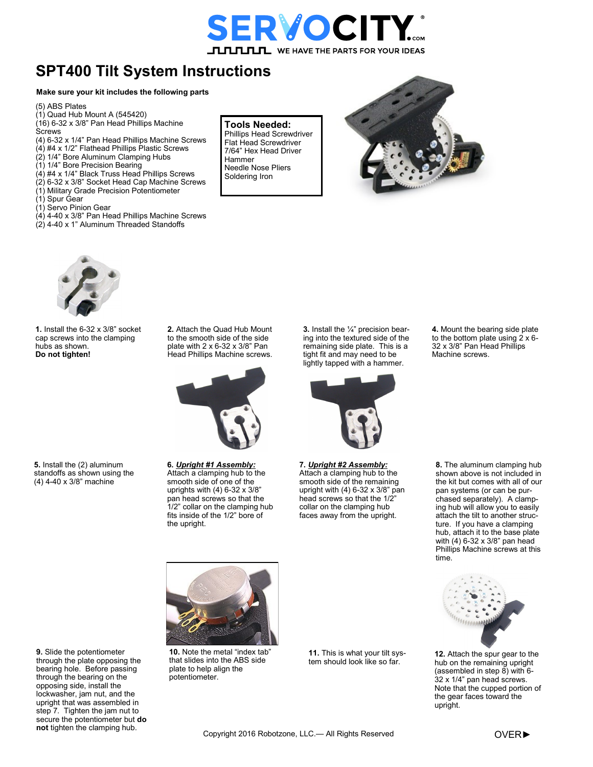

## **SPT400 Tilt System Instructions**

## **Make sure your kit includes the following parts**

(5) ABS Plates

- (1) Quad Hub Mount A (545420)
- (16) 6-32 x 3/8" Pan Head Phillips Machine

**Screws** 

- (4) 6-32 x 1/4" Pan Head Phillips Machine Screws
- $(4)$  #4 x 1/2" Flathead Phillips Plastic Screws
- (2) 1/4" Bore Aluminum Clamping Hubs
- (1) 1/4" Bore Precision Bearing
- (4) #4 x 1/4" Black Truss Head Phillips Screws
- (2) 6-32 x 3/8" Socket Head Cap Machine Screws
- (1) Military Grade Precision Potentiometer
- (1) Spur Gear
- (1) Servo Pinion Gear
- $(4)$  4-40 x 3/8" Pan Head Phillips Machine Screws
- (2) 4-40 x 1" Aluminum Threaded Standoffs

## **Tools Needed:**

Phillips Head Screwdriver Flat Head Screwdriver 7/64" Hex Head Driver Hammer Needle Nose Pliers Soldering Iron





**1.** Install the 6-32 x 3/8" socket cap screws into the clamping hubs as shown. **Do not tighten!**

**2.** Attach the Quad Hub Mount to the smooth side of the side plate with 2 x 6-32 x 3/8" Pan Head Phillips Machine screws.



**6.** *Upright #1 Assembly:* Attach a clamping hub to the smooth side of one of the uprights with (4) 6-32 x 3/8" pan head screws so that the 1/2" collar on the clamping hub fits inside of the 1/2" bore of the upright.

**3.** Install the ¼" precision bearing into the textured side of the remaining side plate. This is a tight fit and may need to be lightly tapped with a hammer.



**7.** *Upright #2 Assembly:* Attach a clamping hub to the smooth side of the remaining upright with (4) 6-32 x 3/8" pan head screws so that the 1/2" collar on the clamping hub faces away from the upright.

**4.** Mount the bearing side plate to the bottom plate using  $2 \times 6$ -32 x 3/8" Pan Head Phillips Machine screws.

**8.** The aluminum clamping hub shown above is not included in the kit but comes with all of our pan systems (or can be purchased separately). A clamping hub will allow you to easily attach the tilt to another structure. If you have a clamping hub, attach it to the base plate with (4) 6-32 x 3/8" pan head Phillips Machine screws at this time.



**12.** Attach the spur gear to the hub on the remaining upright (assembled in step  $\overline{8}$ ) with 6-32 x 1/4" pan head screws. Note that the cupped portion of the gear faces toward the upright.



**5.** Install the (2) aluminum

**9.** Slide the potentiometer through the plate opposing the bearing hole. Before passing through the bearing on the opposing side, install the lockwasher, jam nut, and the upright that was assembled in step 7. Tighten the jam nut to secure the potentiometer but **do not** tighten the clamping hub.

**10.** Note the metal "index tab" that slides into the ABS side plate to help align the

potentiometer.

**11.** This is what your tilt system should look like so far.